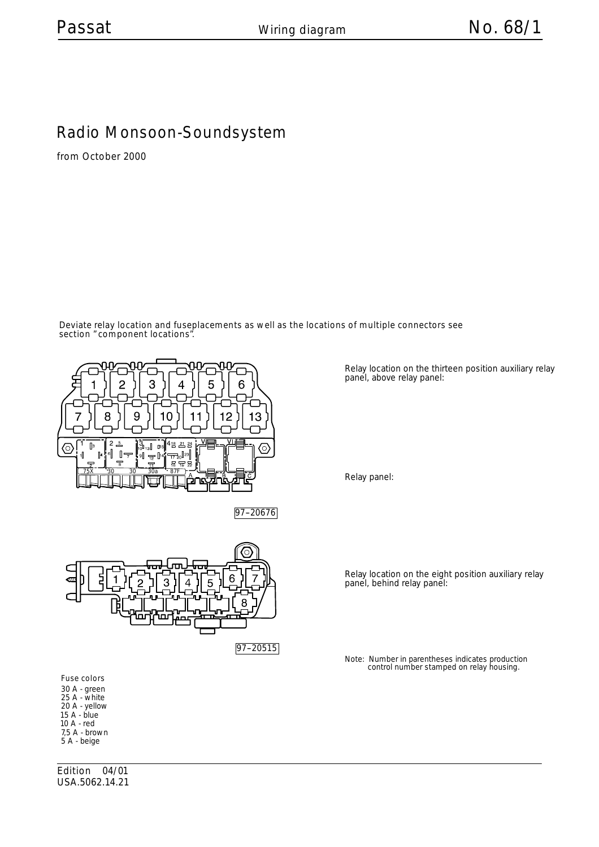## Radio Monsoon-Soundsystem

from October 2000

Deviate relay location and fuseplacements as well as the locations of multiple connectors see section " component locations".



97-20676



Relay location on the thirteen position auxiliary relay panel, above relay panel:

Relay location on the eight position auxiliary relay panel, behind relay panel:

Relay panel:

Note: Number in parentheses indicates production control number stamped on relay housing.

Fuse colors 30 A - green 25 A - w hite 20 A - yellow 15 A - blue 10 A - red 7,5 A - brow n 5 A - beige

Edition 04/01 USA.5062.14.21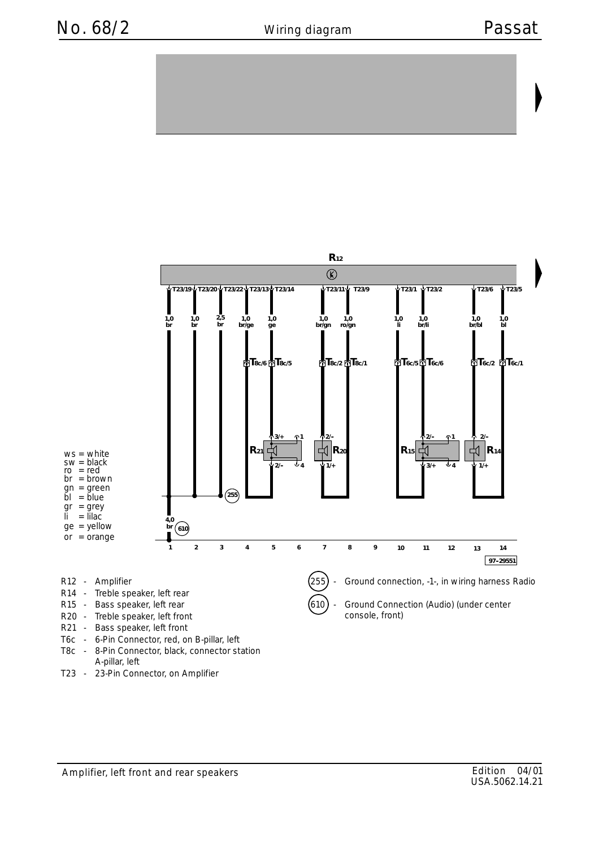

T23 - 23-Pin Connector, on Amplifier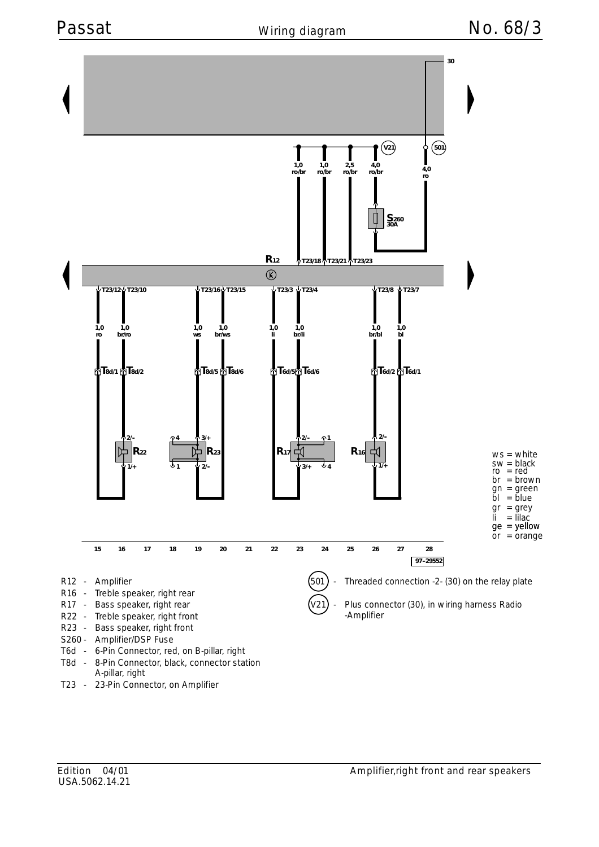

T23 - 23-Pin Connector, on Amplifier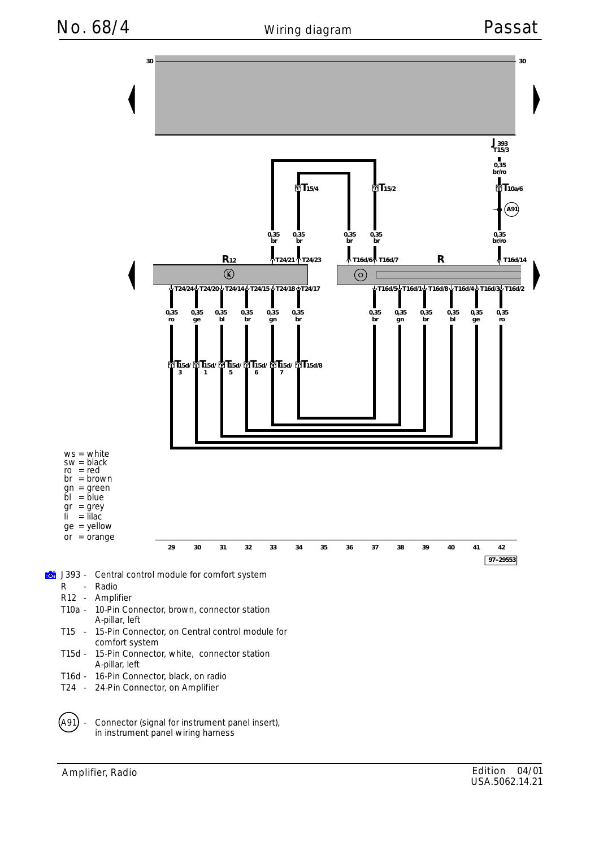No. 68/4 Wiring diagram Passat